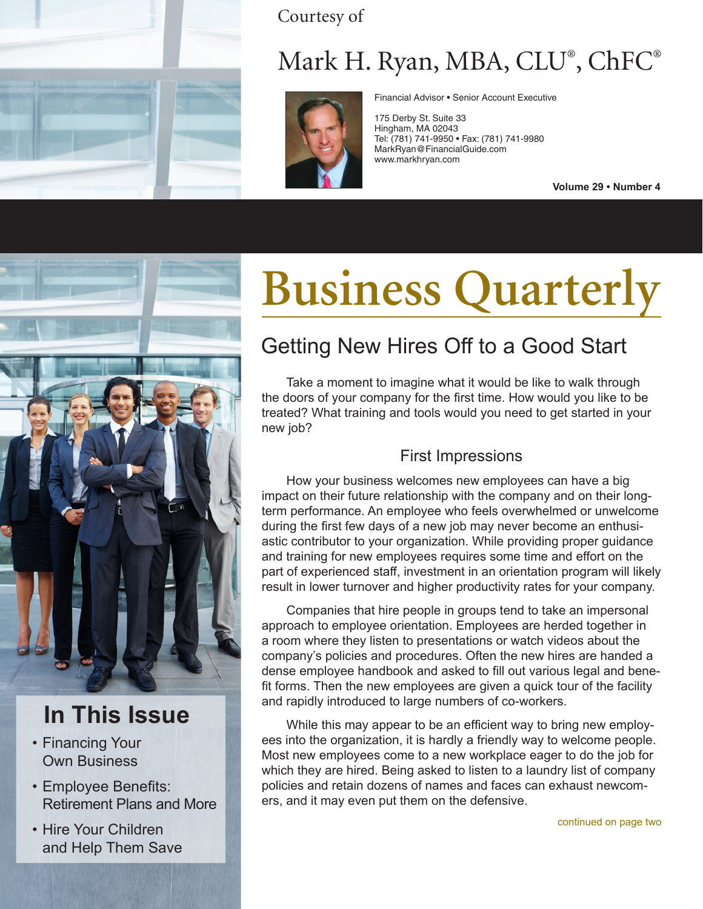

Courtesy of

# Mark H. Ryan, MBA, CLU® , ChFC®



Financial Advisor • Senior Account Executive

175 Derby St. Suite 33 Hingham, MA 02043 Tel: (781) 741-9950 • Fax: (781) 741-9980 MarkRyan@FinancialGuide.com www.markhryan.com

**Volume 29 • Number 4**



## **In This Issue**

- Financing Your Own Business
- Employee Benefits: Retirement Plans and More
- Hire Your Children and Help Them Save

# **Business Quarterly**

## Getting New Hires Off to a Good Start

Take a moment to imagine what it would be like to walk through the doors of your company for the first time. How would you like to be treated? What training and tools would you need to get started in your new job?

## First Impressions

How your business welcomes new employees can have a big impact on their future relationship with the company and on their longterm performance. An employee who feels overwhelmed or unwelcome during the first few days of a new job may never become an enthusiastic contributor to your organization. While providing proper guidance and training for new employees requires some time and effort on the part of experienced staff, investment in an orientation program will likely result in lower turnover and higher productivity rates for your company.

Companies that hire people in groups tend to take an impersonal approach to employee orientation. Employees are herded together in a room where they listen to presentations or watch videos about the company's policies and procedures. Often the new hires are handed a dense employee handbook and asked to fill out various legal and benefit forms. Then the new employees are given a quick tour of the facility and rapidly introduced to large numbers of co-workers.

While this may appear to be an efficient way to bring new employees into the organization, it is hardly a friendly way to welcome people. Most new employees come to a new workplace eager to do the job for which they are hired. Being asked to listen to a laundry list of company policies and retain dozens of names and faces can exhaust newcomers, and it may even put them on the defensive.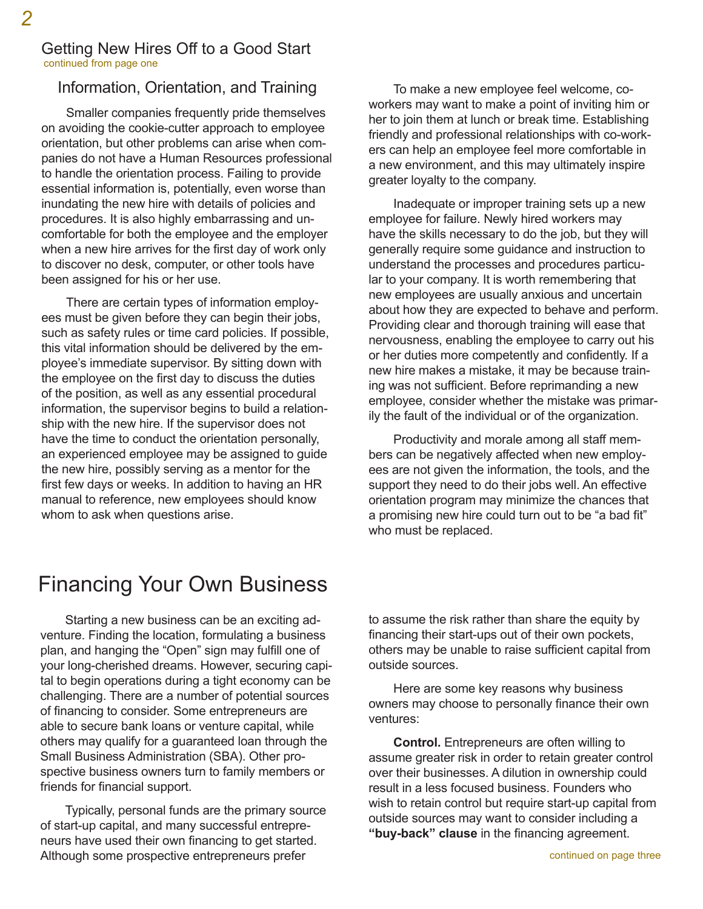#### Getting New Hires Off to a Good Start continued from page one

### Information, Orientation, and Training

Smaller companies frequently pride themselves on avoiding the cookie-cutter approach to employee orientation, but other problems can arise when companies do not have a Human Resources professional to handle the orientation process. Failing to provide essential information is, potentially, even worse than inundating the new hire with details of policies and procedures. It is also highly embarrassing and uncomfortable for both the employee and the employer when a new hire arrives for the first day of work only to discover no desk, computer, or other tools have been assigned for his or her use.

There are certain types of information employees must be given before they can begin their jobs, such as safety rules or time card policies. If possible, this vital information should be delivered by the employee's immediate supervisor. By sitting down with the employee on the first day to discuss the duties of the position, as well as any essential procedural information, the supervisor begins to build a relationship with the new hire. If the supervisor does not have the time to conduct the orientation personally, an experienced employee may be assigned to guide the new hire, possibly serving as a mentor for the first few days or weeks. In addition to having an HR manual to reference, new employees should know whom to ask when questions arise.

To make a new employee feel welcome, coworkers may want to make a point of inviting him or her to join them at lunch or break time. Establishing friendly and professional relationships with co-workers can help an employee feel more comfortable in a new environment, and this may ultimately inspire greater loyalty to the company.

Inadequate or improper training sets up a new employee for failure. Newly hired workers may have the skills necessary to do the job, but they will generally require some guidance and instruction to understand the processes and procedures particular to your company. It is worth remembering that new employees are usually anxious and uncertain about how they are expected to behave and perform. Providing clear and thorough training will ease that nervousness, enabling the employee to carry out his or her duties more competently and confidently. If a new hire makes a mistake, it may be because training was not sufficient. Before reprimanding a new employee, consider whether the mistake was primarily the fault of the individual or of the organization.

Productivity and morale among all staff members can be negatively affected when new employees are not given the information, the tools, and the support they need to do their jobs well. An effective orientation program may minimize the chances that a promising new hire could turn out to be "a bad fit" who must be replaced.

## Financing Your Own Business

Starting a new business can be an exciting adventure. Finding the location, formulating a business plan, and hanging the "Open" sign may fulfill one of your long-cherished dreams. However, securing capital to begin operations during a tight economy can be challenging. There are a number of potential sources of financing to consider. Some entrepreneurs are able to secure bank loans or venture capital, while others may qualify for a guaranteed loan through the Small Business Administration (SBA). Other prospective business owners turn to family members or friends for financial support.

Typically, personal funds are the primary source of start-up capital, and many successful entrepreneurs have used their own financing to get started. Although some prospective entrepreneurs prefer

to assume the risk rather than share the equity by financing their start-ups out of their own pockets, others may be unable to raise sufficient capital from outside sources.

Here are some key reasons why business owners may choose to personally finance their own ventures:

**Control.** Entrepreneurs are often willing to assume greater risk in order to retain greater control over their businesses. A dilution in ownership could result in a less focused business. Founders who wish to retain control but require start-up capital from outside sources may want to consider including a **"buy-back" clause** in the financing agreement.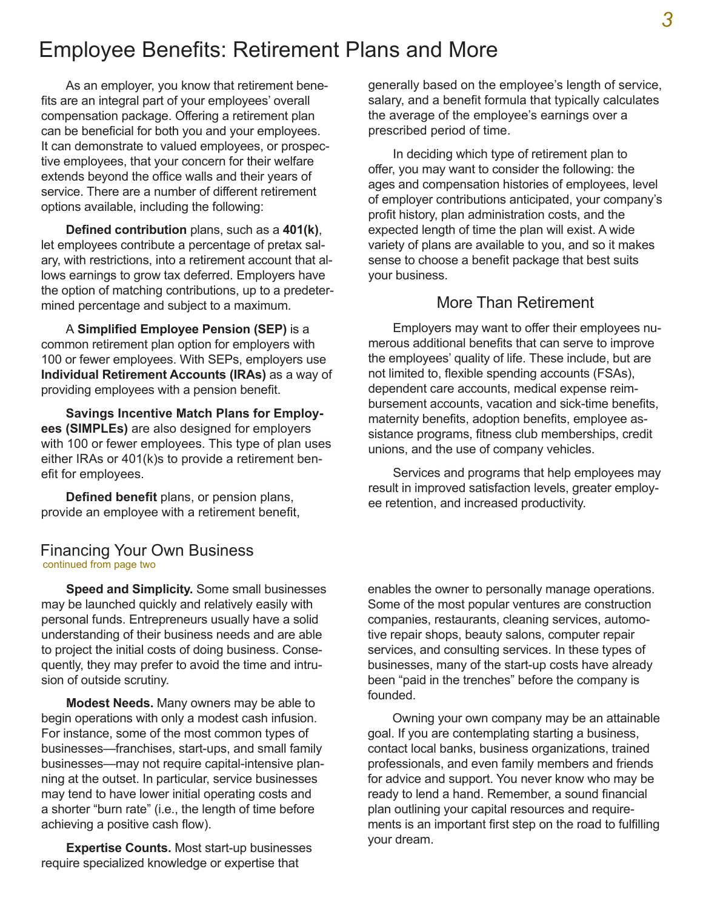## Employee Benefits: Retirement Plans and More

As an employer, you know that retirement benefits are an integral part of your employees' overall compensation package. Offering a retirement plan can be beneficial for both you and your employees. It can demonstrate to valued employees, or prospective employees, that your concern for their welfare extends beyond the office walls and their years of service. There are a number of different retirement options available, including the following:

**Defined contribution** plans, such as a **401(k)**, let employees contribute a percentage of pretax salary, with restrictions, into a retirement account that allows earnings to grow tax deferred. Employers have the option of matching contributions, up to a predetermined percentage and subject to a maximum.

A **Simplified Employee Pension (SEP)** is a common retirement plan option for employers with 100 or fewer employees. With SEPs, employers use **Individual Retirement Accounts (IRAs)** as a way of providing employees with a pension benefit.

**Savings Incentive Match Plans for Employees (SIMPLEs)** are also designed for employers with 100 or fewer employees. This type of plan uses either IRAs or 401(k)s to provide a retirement benefit for employees.

**Defined benefit** plans, or pension plans, provide an employee with a retirement benefit,

#### Financing Your Own Business continued from page two

**Speed and Simplicity.** Some small businesses may be launched quickly and relatively easily with personal funds. Entrepreneurs usually have a solid understanding of their business needs and are able to project the initial costs of doing business. Consequently, they may prefer to avoid the time and intrusion of outside scrutiny.

**Modest Needs.** Many owners may be able to begin operations with only a modest cash infusion. For instance, some of the most common types of businesses—franchises, start-ups, and small family businesses—may not require capital-intensive planning at the outset. In particular, service businesses may tend to have lower initial operating costs and a shorter "burn rate" (i.e., the length of time before achieving a positive cash flow).

**Expertise Counts.** Most start-up businesses require specialized knowledge or expertise that

generally based on the employee's length of service, salary, and a benefit formula that typically calculates the average of the employee's earnings over a prescribed period of time.

In deciding which type of retirement plan to offer, you may want to consider the following: the ages and compensation histories of employees, level of employer contributions anticipated, your company's profit history, plan administration costs, and the expected length of time the plan will exist. A wide variety of plans are available to you, and so it makes sense to choose a benefit package that best suits your business.

#### More Than Retirement

Employers may want to offer their employees numerous additional benefits that can serve to improve the employees' quality of life. These include, but are not limited to, flexible spending accounts (FSAs), dependent care accounts, medical expense reimbursement accounts, vacation and sick-time benefits, maternity benefits, adoption benefits, employee assistance programs, fitness club memberships, credit unions, and the use of company vehicles.

Services and programs that help employees may result in improved satisfaction levels, greater employee retention, and increased productivity.

enables the owner to personally manage operations. Some of the most popular ventures are construction companies, restaurants, cleaning services, automotive repair shops, beauty salons, computer repair services, and consulting services. In these types of businesses, many of the start-up costs have already been "paid in the trenches" before the company is founded.

Owning your own company may be an attainable goal. If you are contemplating starting a business, contact local banks, business organizations, trained professionals, and even family members and friends for advice and support. You never know who may be ready to lend a hand. Remember, a sound financial plan outlining your capital resources and requirements is an important first step on the road to fulfilling your dream.